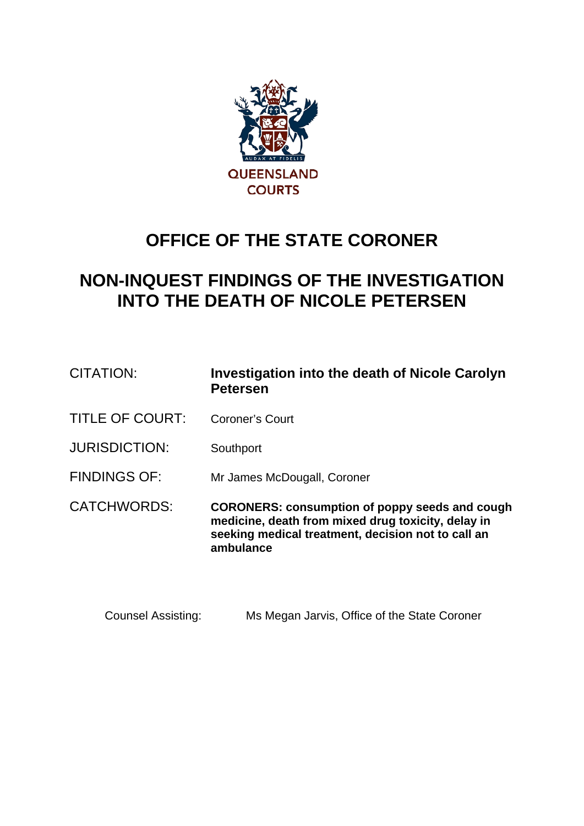

# **OFFICE OF THE STATE CORONER**

# **NON-INQUEST FINDINGS OF THE INVESTIGATION INTO THE DEATH OF NICOLE PETERSEN**

| CITATION:              | Investigation into the death of Nicole Carolyn<br><b>Petersen</b>                                                                                                              |
|------------------------|--------------------------------------------------------------------------------------------------------------------------------------------------------------------------------|
| <b>TITLE OF COURT:</b> | Coroner's Court                                                                                                                                                                |
| <b>JURISDICTION:</b>   | Southport                                                                                                                                                                      |
| <b>FINDINGS OF:</b>    | Mr James McDougall, Coroner                                                                                                                                                    |
| <b>CATCHWORDS:</b>     | <b>CORONERS: consumption of poppy seeds and cough</b><br>medicine, death from mixed drug toxicity, delay in<br>seeking medical treatment, decision not to call an<br>ambulance |

Counsel Assisting: Ms Megan Jarvis, Office of the State Coroner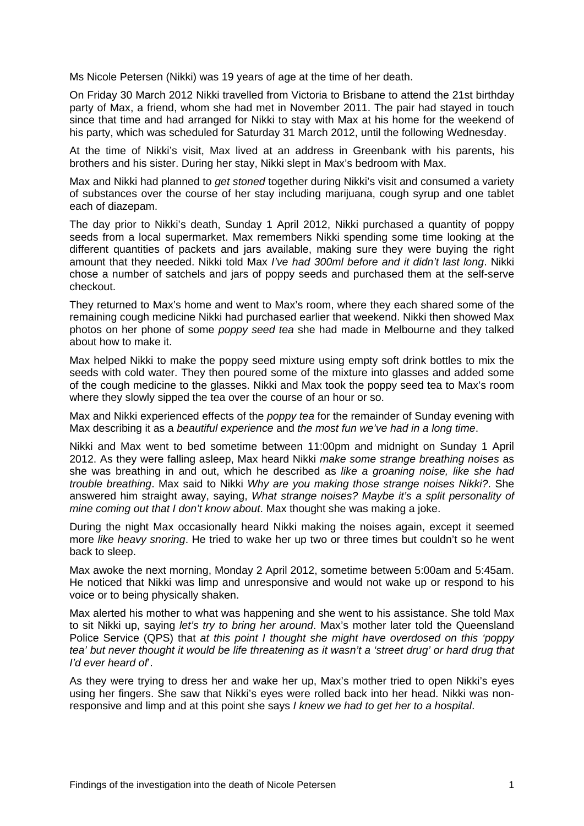Ms Nicole Petersen (Nikki) was 19 years of age at the time of her death.

On Friday 30 March 2012 Nikki travelled from Victoria to Brisbane to attend the 21st birthday party of Max, a friend, whom she had met in November 2011. The pair had stayed in touch since that time and had arranged for Nikki to stay with Max at his home for the weekend of his party, which was scheduled for Saturday 31 March 2012, until the following Wednesday.

At the time of Nikki's visit, Max lived at an address in Greenbank with his parents, his brothers and his sister. During her stay, Nikki slept in Max's bedroom with Max.

Max and Nikki had planned to *get stoned* together during Nikki's visit and consumed a variety of substances over the course of her stay including marijuana, cough syrup and one tablet each of diazepam.

The day prior to Nikki's death, Sunday 1 April 2012, Nikki purchased a quantity of poppy seeds from a local supermarket. Max remembers Nikki spending some time looking at the different quantities of packets and jars available, making sure they were buying the right amount that they needed. Nikki told Max *I've had 300ml before and it didn't last long*. Nikki chose a number of satchels and jars of poppy seeds and purchased them at the self-serve checkout.

They returned to Max's home and went to Max's room, where they each shared some of the remaining cough medicine Nikki had purchased earlier that weekend. Nikki then showed Max photos on her phone of some *poppy seed tea* she had made in Melbourne and they talked about how to make it.

Max helped Nikki to make the poppy seed mixture using empty soft drink bottles to mix the seeds with cold water. They then poured some of the mixture into glasses and added some of the cough medicine to the glasses. Nikki and Max took the poppy seed tea to Max's room where they slowly sipped the tea over the course of an hour or so.

Max and Nikki experienced effects of the *poppy tea* for the remainder of Sunday evening with Max describing it as a *beautiful experience* and *the most fun we've had in a long time*.

Nikki and Max went to bed sometime between 11:00pm and midnight on Sunday 1 April 2012. As they were falling asleep, Max heard Nikki *make some strange breathing noises* as she was breathing in and out, which he described as *like a groaning noise, like she had trouble breathing*. Max said to Nikki *Why are you making those strange noises Nikki?*. She answered him straight away, saying, *What strange noises? Maybe it's a split personality of mine coming out that I don't know about*. Max thought she was making a joke.

During the night Max occasionally heard Nikki making the noises again, except it seemed more *like heavy snoring*. He tried to wake her up two or three times but couldn't so he went back to sleep.

Max awoke the next morning, Monday 2 April 2012, sometime between 5:00am and 5:45am. He noticed that Nikki was limp and unresponsive and would not wake up or respond to his voice or to being physically shaken.

Max alerted his mother to what was happening and she went to his assistance. She told Max to sit Nikki up, saying *let's try to bring her around*. Max's mother later told the Queensland Police Service (QPS) that *at this point I thought she might have overdosed on this 'poppy tea' but never thought it would be life threatening as it wasn't a 'street drug' or hard drug that I'd ever heard of*'.

As they were trying to dress her and wake her up, Max's mother tried to open Nikki's eyes using her fingers. She saw that Nikki's eyes were rolled back into her head. Nikki was nonresponsive and limp and at this point she says *I knew we had to get her to a hospital*.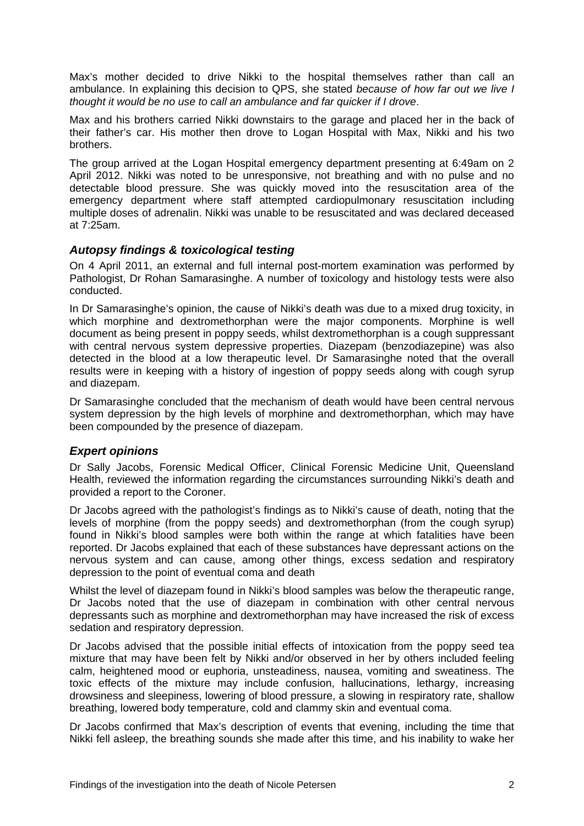Max's mother decided to drive Nikki to the hospital themselves rather than call an ambulance. In explaining this decision to QPS, she stated *because of how far out we live I thought it would be no use to call an ambulance and far quicker if I drove*.

Max and his brothers carried Nikki downstairs to the garage and placed her in the back of their father's car. His mother then drove to Logan Hospital with Max, Nikki and his two brothers.

The group arrived at the Logan Hospital emergency department presenting at 6:49am on 2 April 2012. Nikki was noted to be unresponsive, not breathing and with no pulse and no detectable blood pressure. She was quickly moved into the resuscitation area of the emergency department where staff attempted cardiopulmonary resuscitation including multiple doses of adrenalin. Nikki was unable to be resuscitated and was declared deceased at 7:25am.

## *Autopsy findings & toxicological testing*

On 4 April 2011, an external and full internal post-mortem examination was performed by Pathologist, Dr Rohan Samarasinghe. A number of toxicology and histology tests were also conducted.

In Dr Samarasinghe's opinion, the cause of Nikki's death was due to a mixed drug toxicity, in which morphine and dextromethorphan were the major components. Morphine is well document as being present in poppy seeds, whilst dextromethorphan is a cough suppressant with central nervous system depressive properties. Diazepam (benzodiazepine) was also detected in the blood at a low therapeutic level. Dr Samarasinghe noted that the overall results were in keeping with a history of ingestion of poppy seeds along with cough syrup and diazepam.

Dr Samarasinghe concluded that the mechanism of death would have been central nervous system depression by the high levels of morphine and dextromethorphan, which may have been compounded by the presence of diazepam.

# *Expert opinions*

Dr Sally Jacobs, Forensic Medical Officer, Clinical Forensic Medicine Unit, Queensland Health, reviewed the information regarding the circumstances surrounding Nikki's death and provided a report to the Coroner.

Dr Jacobs agreed with the pathologist's findings as to Nikki's cause of death, noting that the levels of morphine (from the poppy seeds) and dextromethorphan (from the cough syrup) found in Nikki's blood samples were both within the range at which fatalities have been reported. Dr Jacobs explained that each of these substances have depressant actions on the nervous system and can cause, among other things, excess sedation and respiratory depression to the point of eventual coma and death

Whilst the level of diazepam found in Nikki's blood samples was below the therapeutic range, Dr Jacobs noted that the use of diazepam in combination with other central nervous depressants such as morphine and dextromethorphan may have increased the risk of excess sedation and respiratory depression.

Dr Jacobs advised that the possible initial effects of intoxication from the poppy seed tea mixture that may have been felt by Nikki and/or observed in her by others included feeling calm, heightened mood or euphoria, unsteadiness, nausea, vomiting and sweatiness. The toxic effects of the mixture may include confusion, hallucinations, lethargy, increasing drowsiness and sleepiness, lowering of blood pressure, a slowing in respiratory rate, shallow breathing, lowered body temperature, cold and clammy skin and eventual coma.

Dr Jacobs confirmed that Max's description of events that evening, including the time that Nikki fell asleep, the breathing sounds she made after this time, and his inability to wake her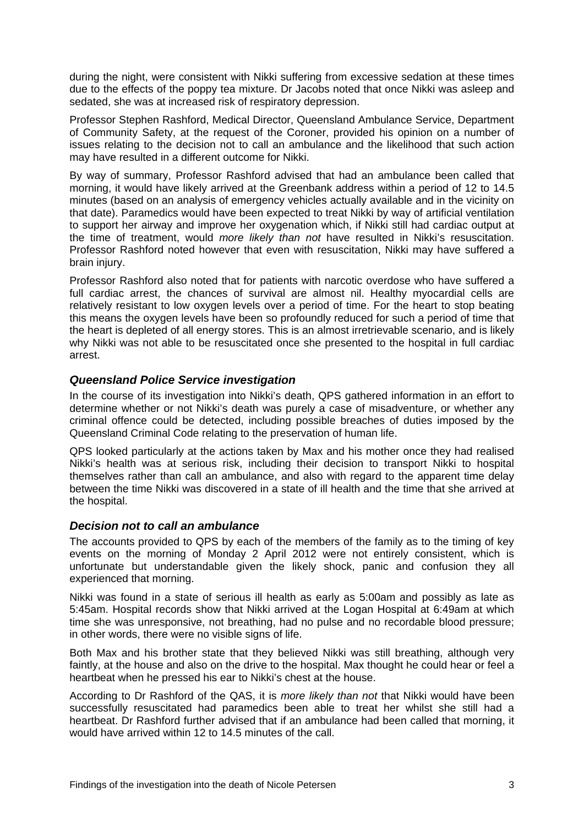during the night, were consistent with Nikki suffering from excessive sedation at these times due to the effects of the poppy tea mixture. Dr Jacobs noted that once Nikki was asleep and sedated, she was at increased risk of respiratory depression.

Professor Stephen Rashford, Medical Director, Queensland Ambulance Service, Department of Community Safety, at the request of the Coroner, provided his opinion on a number of issues relating to the decision not to call an ambulance and the likelihood that such action may have resulted in a different outcome for Nikki.

By way of summary, Professor Rashford advised that had an ambulance been called that morning, it would have likely arrived at the Greenbank address within a period of 12 to 14.5 minutes (based on an analysis of emergency vehicles actually available and in the vicinity on that date). Paramedics would have been expected to treat Nikki by way of artificial ventilation to support her airway and improve her oxygenation which, if Nikki still had cardiac output at the time of treatment, would *more likely than not* have resulted in Nikki's resuscitation. Professor Rashford noted however that even with resuscitation, Nikki may have suffered a brain injury.

Professor Rashford also noted that for patients with narcotic overdose who have suffered a full cardiac arrest, the chances of survival are almost nil. Healthy myocardial cells are relatively resistant to low oxygen levels over a period of time. For the heart to stop beating this means the oxygen levels have been so profoundly reduced for such a period of time that the heart is depleted of all energy stores. This is an almost irretrievable scenario, and is likely why Nikki was not able to be resuscitated once she presented to the hospital in full cardiac arrest.

## *Queensland Police Service investigation*

In the course of its investigation into Nikki's death, QPS gathered information in an effort to determine whether or not Nikki's death was purely a case of misadventure, or whether any criminal offence could be detected, including possible breaches of duties imposed by the Queensland Criminal Code relating to the preservation of human life.

QPS looked particularly at the actions taken by Max and his mother once they had realised Nikki's health was at serious risk, including their decision to transport Nikki to hospital themselves rather than call an ambulance, and also with regard to the apparent time delay between the time Nikki was discovered in a state of ill health and the time that she arrived at the hospital.

#### *Decision not to call an ambulance*

The accounts provided to QPS by each of the members of the family as to the timing of key events on the morning of Monday 2 April 2012 were not entirely consistent, which is unfortunate but understandable given the likely shock, panic and confusion they all experienced that morning.

Nikki was found in a state of serious ill health as early as 5:00am and possibly as late as 5:45am. Hospital records show that Nikki arrived at the Logan Hospital at 6:49am at which time she was unresponsive, not breathing, had no pulse and no recordable blood pressure; in other words, there were no visible signs of life.

Both Max and his brother state that they believed Nikki was still breathing, although very faintly, at the house and also on the drive to the hospital. Max thought he could hear or feel a heartbeat when he pressed his ear to Nikki's chest at the house.

According to Dr Rashford of the QAS, it is *more likely than not* that Nikki would have been successfully resuscitated had paramedics been able to treat her whilst she still had a heartbeat. Dr Rashford further advised that if an ambulance had been called that morning, it would have arrived within 12 to 14.5 minutes of the call.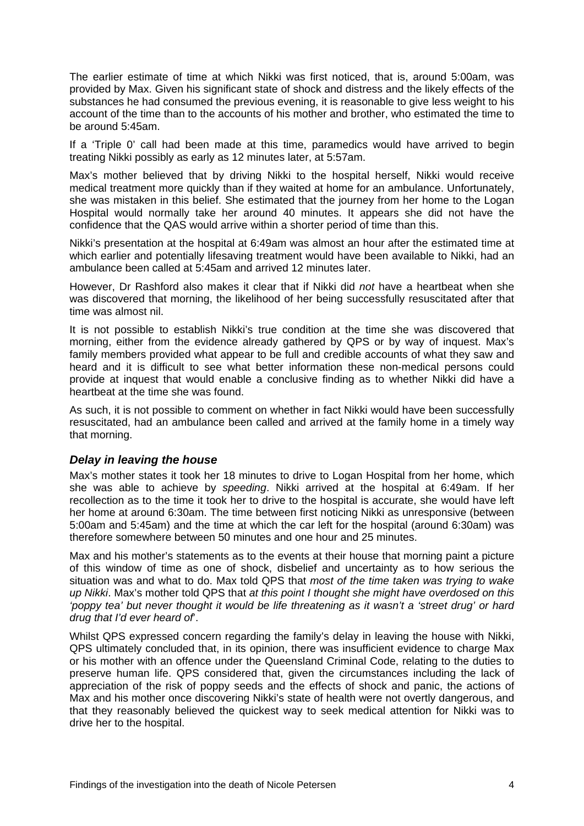The earlier estimate of time at which Nikki was first noticed, that is, around 5:00am, was provided by Max. Given his significant state of shock and distress and the likely effects of the substances he had consumed the previous evening, it is reasonable to give less weight to his account of the time than to the accounts of his mother and brother, who estimated the time to be around 5:45am.

If a 'Triple 0' call had been made at this time, paramedics would have arrived to begin treating Nikki possibly as early as 12 minutes later, at 5:57am.

Max's mother believed that by driving Nikki to the hospital herself, Nikki would receive medical treatment more quickly than if they waited at home for an ambulance. Unfortunately, she was mistaken in this belief. She estimated that the journey from her home to the Logan Hospital would normally take her around 40 minutes. It appears she did not have the confidence that the QAS would arrive within a shorter period of time than this.

Nikki's presentation at the hospital at 6:49am was almost an hour after the estimated time at which earlier and potentially lifesaving treatment would have been available to Nikki, had an ambulance been called at 5:45am and arrived 12 minutes later.

However, Dr Rashford also makes it clear that if Nikki did *not* have a heartbeat when she was discovered that morning, the likelihood of her being successfully resuscitated after that time was almost nil.

It is not possible to establish Nikki's true condition at the time she was discovered that morning, either from the evidence already gathered by QPS or by way of inquest. Max's family members provided what appear to be full and credible accounts of what they saw and heard and it is difficult to see what better information these non-medical persons could provide at inquest that would enable a conclusive finding as to whether Nikki did have a heartbeat at the time she was found.

As such, it is not possible to comment on whether in fact Nikki would have been successfully resuscitated, had an ambulance been called and arrived at the family home in a timely way that morning.

#### *Delay in leaving the house*

Max's mother states it took her 18 minutes to drive to Logan Hospital from her home, which she was able to achieve by *speeding*. Nikki arrived at the hospital at 6:49am. If her recollection as to the time it took her to drive to the hospital is accurate, she would have left her home at around 6:30am. The time between first noticing Nikki as unresponsive (between 5:00am and 5:45am) and the time at which the car left for the hospital (around 6:30am) was therefore somewhere between 50 minutes and one hour and 25 minutes.

Max and his mother's statements as to the events at their house that morning paint a picture of this window of time as one of shock, disbelief and uncertainty as to how serious the situation was and what to do. Max told QPS that *most of the time taken was trying to wake up Nikki*. Max's mother told QPS that *at this point I thought she might have overdosed on this 'poppy tea' but never thought it would be life threatening as it wasn't a 'street drug' or hard drug that I'd ever heard of*'.

Whilst QPS expressed concern regarding the family's delay in leaving the house with Nikki, QPS ultimately concluded that, in its opinion, there was insufficient evidence to charge Max or his mother with an offence under the Queensland Criminal Code, relating to the duties to preserve human life. QPS considered that, given the circumstances including the lack of appreciation of the risk of poppy seeds and the effects of shock and panic, the actions of Max and his mother once discovering Nikki's state of health were not overtly dangerous, and that they reasonably believed the quickest way to seek medical attention for Nikki was to drive her to the hospital.